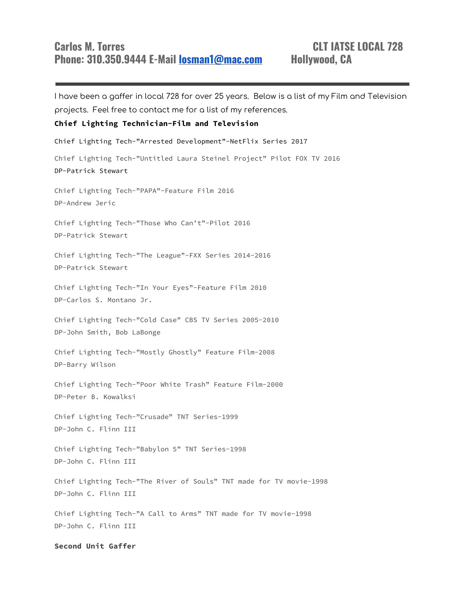I have been a gaffer in local 728 for over 25 years. Below is a list of my Film and Television projects. Feel free to contact me for a list of my references. **Chief Lighting Technician-Film and Television** Chief Lighting Tech-"Arrested Development"-NetFlix Series 2017 Chief Lighting Tech-"Untitled Laura Steinel Project" Pilot FOX TV 2016 DP-Patrick Stewart Chief Lighting Tech-"PAPA"-Feature Film 2016 DP-Andrew Jeric Chief Lighting Tech-"Those Who Can't"-Pilot 2016 DP-Patrick Stewart Chief Lighting Tech-"The League"-FXX Series 2014-2016 DP-Patrick Stewart Chief Lighting Tech-"In Your Eyes"-Feature Film 2010 DP-Carlos S. Montano Jr. Chief Lighting Tech-"Cold Case" CBS TV Series 2005-2010 DP-John Smith, Bob LaBonge Chief Lighting Tech-"Mostly Ghostly" Feature Film-2008 DP-Barry Wilson Chief Lighting Tech-"Poor White Trash" Feature Film-2000

DP-Peter B. Kowalksi

Chief Lighting Tech-"Crusade" TNT Series-1999 DP-John C. Flinn III

Chief Lighting Tech-"Babylon 5" TNT Series-1998 DP-John C. Flinn III

Chief Lighting Tech-"The River of Souls" TNT made for TV movie-1998 DP-John C. Flinn III

Chief Lighting Tech-"A Call to Arms" TNT made for TV movie-1998 DP-John C. Flinn III

**Second Unit Gaffer**